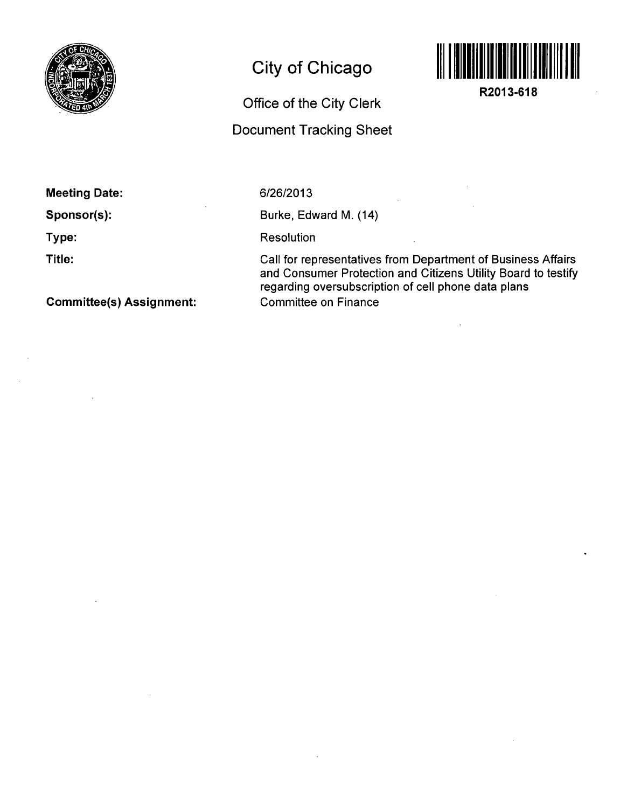

# **City of Chicago**

## **Office of the City Clerk**

### **Document Tracking Sheet**



**R2013-618** 

### **Meeting Date:**

**Sponsor(s):** 

**Type:** 

**Title:** 

**Committee(s) Assignment:** 

#### 6/26/2013

Burke, Edward M. (14)

Resolution

Call for representatives from Department of Business Affairs and Consumer Protection and Citizens Utility Board to testify regarding oversubscription of cell phone data plans Committee on Finance